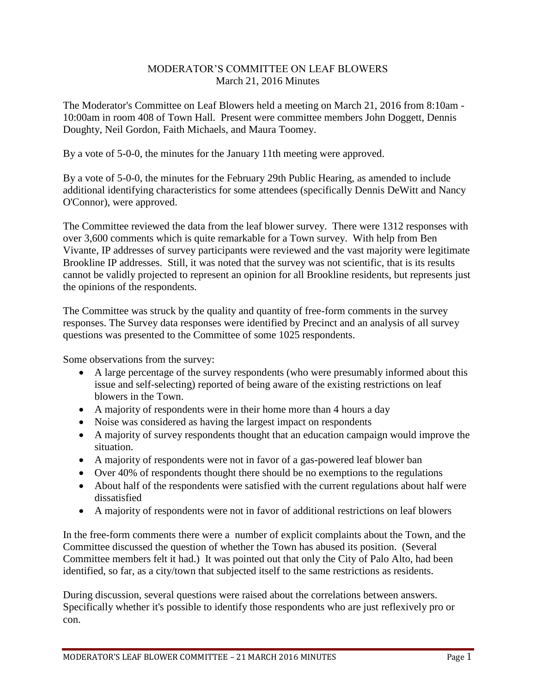## MODERATOR'S COMMITTEE ON LEAF BLOWERS March 21, 2016 Minutes

The Moderator's Committee on Leaf Blowers held a meeting on March 21, 2016 from 8:10am - 10:00am in room 408 of Town Hall. Present were committee members John Doggett, Dennis Doughty, Neil Gordon, Faith Michaels, and Maura Toomey.

By a vote of 5-0-0, the minutes for the January 11th meeting were approved.

By a vote of 5-0-0, the minutes for the February 29th Public Hearing, as amended to include additional identifying characteristics for some attendees (specifically Dennis DeWitt and Nancy O'Connor), were approved.

The Committee reviewed the data from the leaf blower survey. There were 1312 responses with over 3,600 comments which is quite remarkable for a Town survey. With help from Ben Vivante, IP addresses of survey participants were reviewed and the vast majority were legitimate Brookline IP addresses. Still, it was noted that the survey was not scientific, that is its results cannot be validly projected to represent an opinion for all Brookline residents, but represents just the opinions of the respondents.

The Committee was struck by the quality and quantity of free-form comments in the survey responses. The Survey data responses were identified by Precinct and an analysis of all survey questions was presented to the Committee of some 1025 respondents.

Some observations from the survey:

- A large percentage of the survey respondents (who were presumably informed about this issue and self-selecting) reported of being aware of the existing restrictions on leaf blowers in the Town.
- A majority of respondents were in their home more than 4 hours a day
- Noise was considered as having the largest impact on respondents
- A majority of survey respondents thought that an education campaign would improve the situation.
- A majority of respondents were not in favor of a gas-powered leaf blower ban
- Over 40% of respondents thought there should be no exemptions to the regulations
- About half of the respondents were satisfied with the current regulations about half were dissatisfied
- A majority of respondents were not in favor of additional restrictions on leaf blowers

In the free-form comments there were a number of explicit complaints about the Town, and the Committee discussed the question of whether the Town has abused its position. (Several Committee members felt it had.) It was pointed out that only the City of Palo Alto, had been identified, so far, as a city/town that subjected itself to the same restrictions as residents.

During discussion, several questions were raised about the correlations between answers. Specifically whether it's possible to identify those respondents who are just reflexively pro or con.